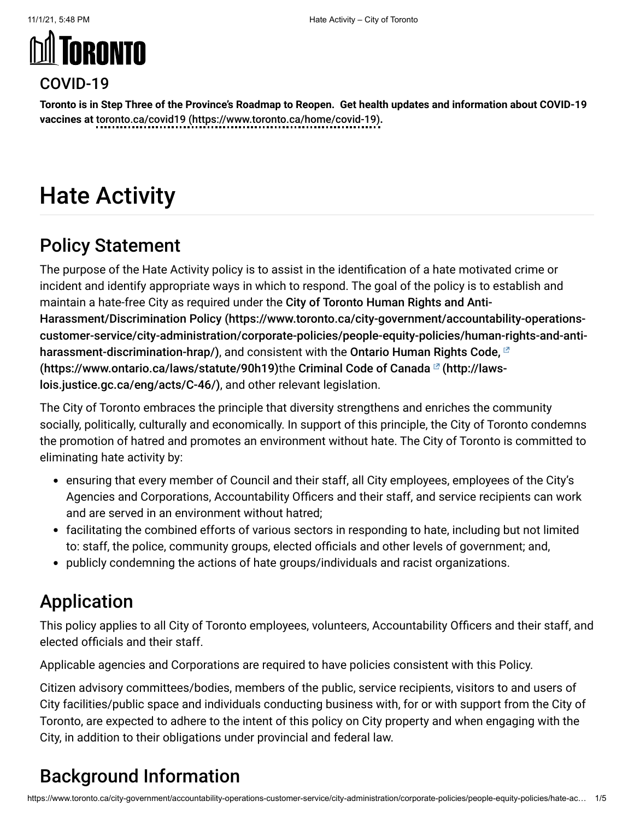# **MI TORONTO**



**Toronto is in Step Three of the Province's Roadmap to Reopen. Get health updates and information about COVID-19 vaccines at** [toronto.ca/covid19 \(https://www.toronto.ca/home/covid-19\)](https://www.toronto.ca/home/covid-19)**.**

## Hate Activity

## Policy Statement

The purpose of the Hate Activity policy is to assist in the identification of a hate motivated crime or incident and identify appropriate ways in which to respond. The goal of the policy is to establish and maintain a hate-free City as required under the City of Toronto Human Rights and Anti-Harassment/Discrimination Policy (https://www.toronto.ca/city-government/accountability-operations[customer-service/city-administration/corporate-policies/people-equity-policies/human-rights-and-anti](https://www.toronto.ca/city-government/accountability-operations-customer-service/city-administration/corporate-policies/people-equity-policies/human-rights-and-anti-harassment-discrimination-hrap/)harassment-discrimination-hrap/), and consistent with the Ontario Human Rights Code,  $\mathbb{Z}$ [\(https://www.ontario.ca/laws/statute/90h19\)](https://www.ontario.ca/laws/statute/90h19)the Criminal Code of Canada<sup>[2</sup> (http://lawslois.justice.gc.ca/eng/acts/C-46/), and other relevant legislation.

The City of Toronto embraces the principle that diversity strengthens and enriches the community socially, politically, culturally and economically. In support of this principle, the City of Toronto condemns the promotion of hatred and promotes an environment without hate. The City of Toronto is committed to eliminating hate activity by:

- ensuring that every member of Council and their staff, all City employees, employees of the City's Agencies and Corporations, Accountability Officers and their staff, and service recipients can work and are served in an environment without hatred;
- facilitating the combined efforts of various sectors in responding to hate, including but not limited to: staff, the police, community groups, elected officials and other levels of government; and,
- publicly condemning the actions of hate groups/individuals and racist organizations.

## Application

This policy applies to all City of Toronto employees, volunteers, Accountability Officers and their staff, and elected officials and their staff.

Applicable agencies and Corporations are required to have policies consistent with this Policy.

Citizen advisory committees/bodies, members of the public, service recipients, visitors to and users of City facilities/public space and individuals conducting business with, for or with support from the City of Toronto, are expected to adhere to the intent of this policy on City property and when engaging with the City, in addition to their obligations under provincial and federal law.

## Background Information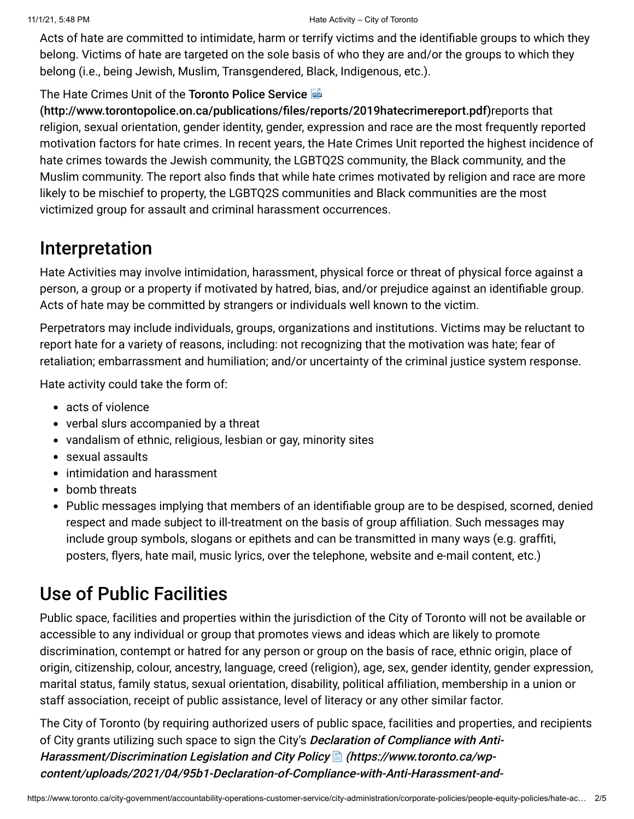Acts of hate are committed to intimidate, harm or terrify victims and the identifiable groups to which they belong. Victims of hate are targeted on the sole basis of who they are and/or the groups to which they belong (i.e., being Jewish, Muslim, Transgendered, Black, Indigenous, etc.).

#### The Hate Crimes Unit of the Toronto Police Service **External**

[\(http://www.torontopolice.on.ca/publications/files/reports/2019hatecrimereport.pdf\)](http://www.torontopolice.on.ca/publications/files/reports/2019hatecrimereport.pdf)reports that religion, sexual orientation, gender identity, gender, expression and race are the most frequently reported motivation factors for hate crimes. In recent years, the Hate Crimes Unit reported the highest incidence of hate crimes towards the Jewish community, the LGBTQ2S community, the Black community, and the Muslim community. The report also finds that while hate crimes motivated by religion and race are more likely to be mischief to property, the LGBTQ2S communities and Black communities are the most victimized group for assault and criminal harassment occurrences.

## Interpretation

Hate Activities may involve intimidation, harassment, physical force or threat of physical force against a person, a group or a property if motivated by hatred, bias, and/or prejudice against an identifiable group. Acts of hate may be committed by strangers or individuals well known to the victim.

Perpetrators may include individuals, groups, organizations and institutions. Victims may be reluctant to report hate for a variety of reasons, including: not recognizing that the motivation was hate; fear of retaliation; embarrassment and humiliation; and/or uncertainty of the criminal justice system response.

Hate activity could take the form of:

- acts of violence
- verbal slurs accompanied by a threat
- vandalism of ethnic, religious, lesbian or gay, minority sites
- sexual assaults
- intimidation and harassment
- bomb threats
- Public messages implying that members of an identifiable group are to be despised, scorned, denied respect and made subject to ill-treatment on the basis of group affiliation. Such messages may include group symbols, slogans or epithets and can be transmitted in many ways (e.g. graffiti, posters, flyers, hate mail, music lyrics, over the telephone, website and e-mail content, etc.)

## Use of Public Facilities

Public space, facilities and properties within the jurisdiction of the City of Toronto will not be available or accessible to any individual or group that promotes views and ideas which are likely to promote discrimination, contempt or hatred for any person or group on the basis of race, ethnic origin, place of origin, citizenship, colour, ancestry, language, creed (religion), age, sex, gender identity, gender expression, marital status, family status, sexual orientation, disability, political affiliation, membership in a union or staff association, receipt of public assistance, level of literacy or any other similar factor.

The City of Toronto (by requiring authorized users of public space, facilities and properties, and recipients of City grants utilizing such space to sign the City's Declaration of Compliance with Anti-Harassment/Discrimination Legislation and City Policy **(assimally https://www.toronto.ca/wp**content/uploads/2021/04/95b1-Declaration-of-Compliance-with-Anti-Harassment-and-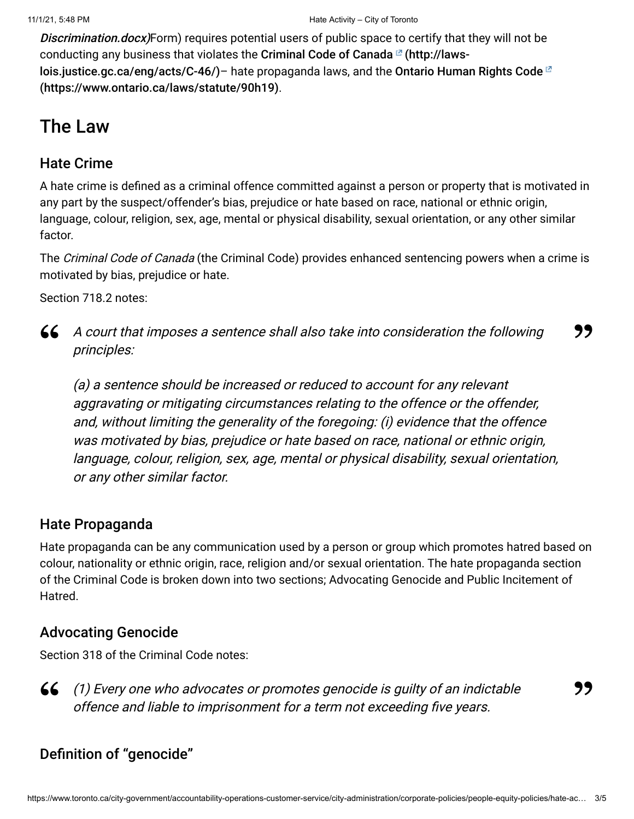Discrimination.docx)[Form\) requires potential users of public space to certify that they wi](https://www.toronto.ca/wp-content/uploads/2021/04/95b1-Declaration-of-Compliance-with-Anti-Harassment-and-Discrimination.docx)ll not be [conducting any business that violates the](http://laws-lois.justice.gc.ca/eng/acts/C-46/) Criminal Code of Canada  $\mathbb{F}$  (http://lawslois.justice.gc.ca/eng/acts/C-46/)– hate propaganda laws, and the Ontario Human Rights Code  $^{\boxtimes}$ [\(https://www.ontario.ca/laws/statute/90h19\)](https://www.ontario.ca/laws/statute/90h19).

## The Law

#### Hate Crime

A hate crime is defined as a criminal offence committed against a person or property that is motivated in any part by the suspect/offender's bias, prejudice or hate based on race, national or ethnic origin, language, colour, religion, sex, age, mental or physical disability, sexual orientation, or any other similar factor.

The Criminal Code of Canada (the Criminal Code) provides enhanced sentencing powers when a crime is motivated by bias, prejudice or hate.

Section 718.2 notes:

A court that imposes a sentence shall also take into consideration the following **" "** principles:

(a) a sentence should be increased or reduced to account for any relevant aggravating or mitigating circumstances relating to the offence or the offender, and, without limiting the generality of the foregoing: (i) evidence that the offence was motivated by bias, prejudice or hate based on race, national or ethnic origin, language, colour, religion, sex, age, mental or physical disability, sexual orientation, or any other similar factor.

#### Hate Propaganda

Hate propaganda can be any communication used by a person or group which promotes hatred based on colour, nationality or ethnic origin, race, religion and/or sexual orientation. The hate propaganda section of the Criminal Code is broken down into two sections; Advocating Genocide and Public Incitement of Hatred.

#### Advocating Genocide

Section 318 of the Criminal Code notes:

(1) Every one who advocates or promotes genocide is guilty of an indictable **"** offence and liable to imprisonment for a term not exceeding five years.

#### **"**

#### Definition of "genocide"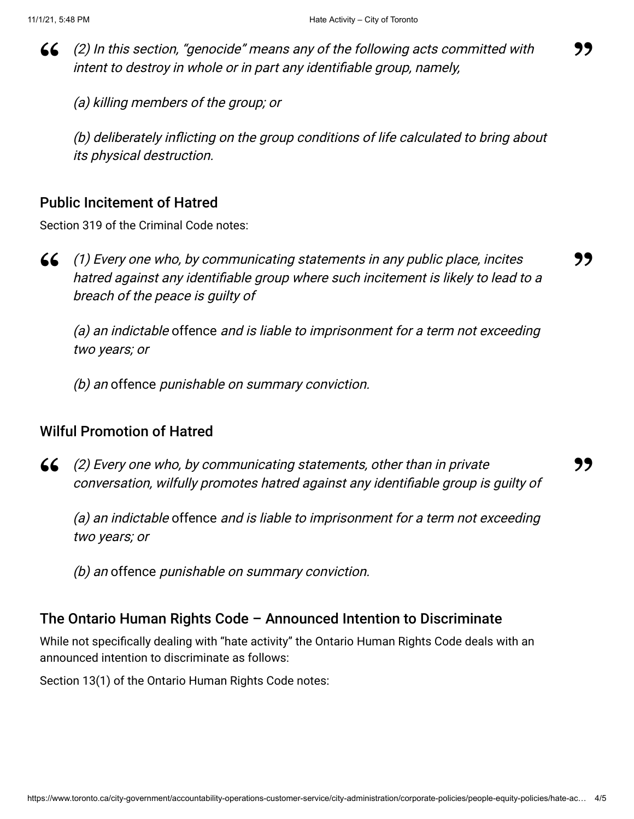(2) In this section, "genocide" means any of the following acts committed with **" "** intent to destroy in whole or in part any identifiable group, namely,

(a) killing members of the group; or

(b) deliberately inflicting on the group conditions of life calculated to bring about its physical destruction.

#### Public Incitement of Hatred

Section 319 of the Criminal Code notes:



(1) Every one who, by communicating statements in any public place, incites **" "** hatred against any identifiable group where such incitement is likely to lead to a breach of the peace is guilty of

(a) an indictable offence and is liable to imprisonment for a term not exceeding two years; or

(b) an offence punishable on summary conviction.

#### Wilful Promotion of Hatred

 $\left(2\right)$  Every one who, by communicating statements, other than in private 66 (2) Every one who, by communicating statements, other than in private **1999**<br>Conversation, wilfully promotes hatred against any identifiable group is guilty of

(a) an indictable offence and is liable to imprisonment for a term not exceeding two years; or

(b) an offence punishable on summary conviction.

#### The Ontario Human Rights Code – Announced Intention to Discriminate

While not specifically dealing with "hate activity" the Ontario Human Rights Code deals with an announced intention to discriminate as follows:

Section 13(1) of the Ontario Human Rights Code notes: